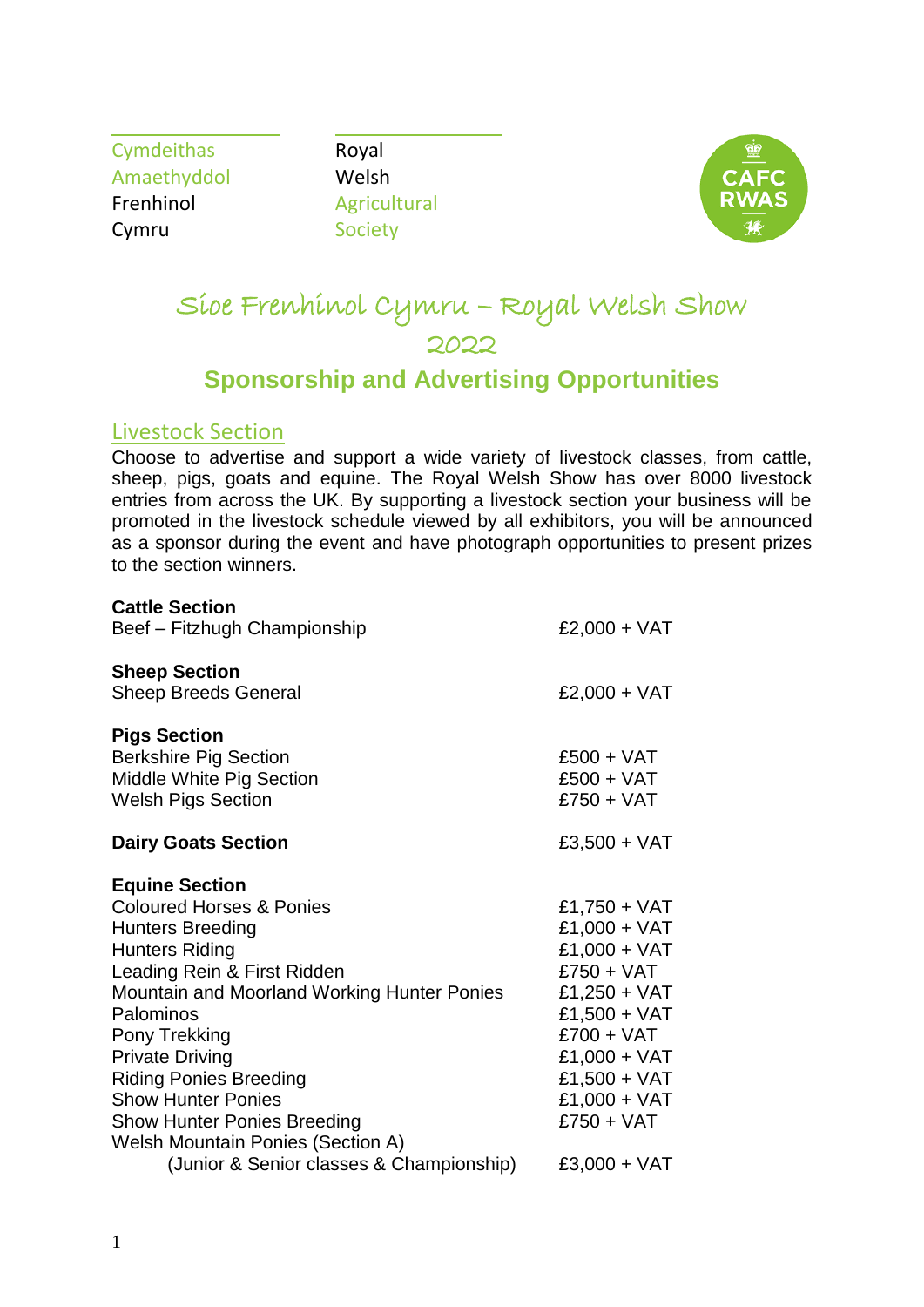Cymdeithas Royal Amaethyddol Welsh Frenhinol Agricultural Cymru Society



# Sioe Frenhinol Cymru – Royal Welsh Show 2022

# **Sponsorship and Advertising Opportunities**

#### Livestock Section

Choose to advertise and support a wide variety of livestock classes, from cattle, sheep, pigs, goats and equine. The Royal Welsh Show has over 8000 livestock entries from across the UK. By supporting a livestock section your business will be promoted in the livestock schedule viewed by all exhibitors, you will be announced as a sponsor during the event and have photograph opportunities to present prizes to the section winners.

| <b>Cattle Section</b><br>Beef - Fitzhugh Championship                                                                                                                                                                                                                                                                                                                                                                                                     | $£2,000 + VAT$                                                                                                                                                                                                 |
|-----------------------------------------------------------------------------------------------------------------------------------------------------------------------------------------------------------------------------------------------------------------------------------------------------------------------------------------------------------------------------------------------------------------------------------------------------------|----------------------------------------------------------------------------------------------------------------------------------------------------------------------------------------------------------------|
| <b>Sheep Section</b><br><b>Sheep Breeds General</b>                                                                                                                                                                                                                                                                                                                                                                                                       | $£2,000 + VAT$                                                                                                                                                                                                 |
| <b>Pigs Section</b><br><b>Berkshire Pig Section</b><br>Middle White Pig Section<br><b>Welsh Pigs Section</b>                                                                                                                                                                                                                                                                                                                                              | $£500 + VAT$<br>$£500 + VAT$<br>$£750 + VAT$                                                                                                                                                                   |
| <b>Dairy Goats Section</b>                                                                                                                                                                                                                                                                                                                                                                                                                                | $£3,500 + VAT$                                                                                                                                                                                                 |
| <b>Equine Section</b><br><b>Coloured Horses &amp; Ponies</b><br><b>Hunters Breeding</b><br><b>Hunters Riding</b><br>Leading Rein & First Ridden<br><b>Mountain and Moorland Working Hunter Ponies</b><br>Palominos<br>Pony Trekking<br><b>Private Driving</b><br><b>Riding Ponies Breeding</b><br><b>Show Hunter Ponies</b><br><b>Show Hunter Ponies Breeding</b><br><b>Welsh Mountain Ponies (Section A)</b><br>(Junior & Senior classes & Championship) | £1,750 + $VAT$<br>$£1,000 + VAT$<br>£1,000 + $VAT$<br>$£750 + VAT$<br>£1,250 + $VAT$<br>£1,500 + $VAT$<br>$£700 + VAT$<br>$£1,000 + VAT$<br>£1,500 + $VAT$<br>£1,000 + $VAT$<br>$£750 + VAT$<br>$£3,000 + VAT$ |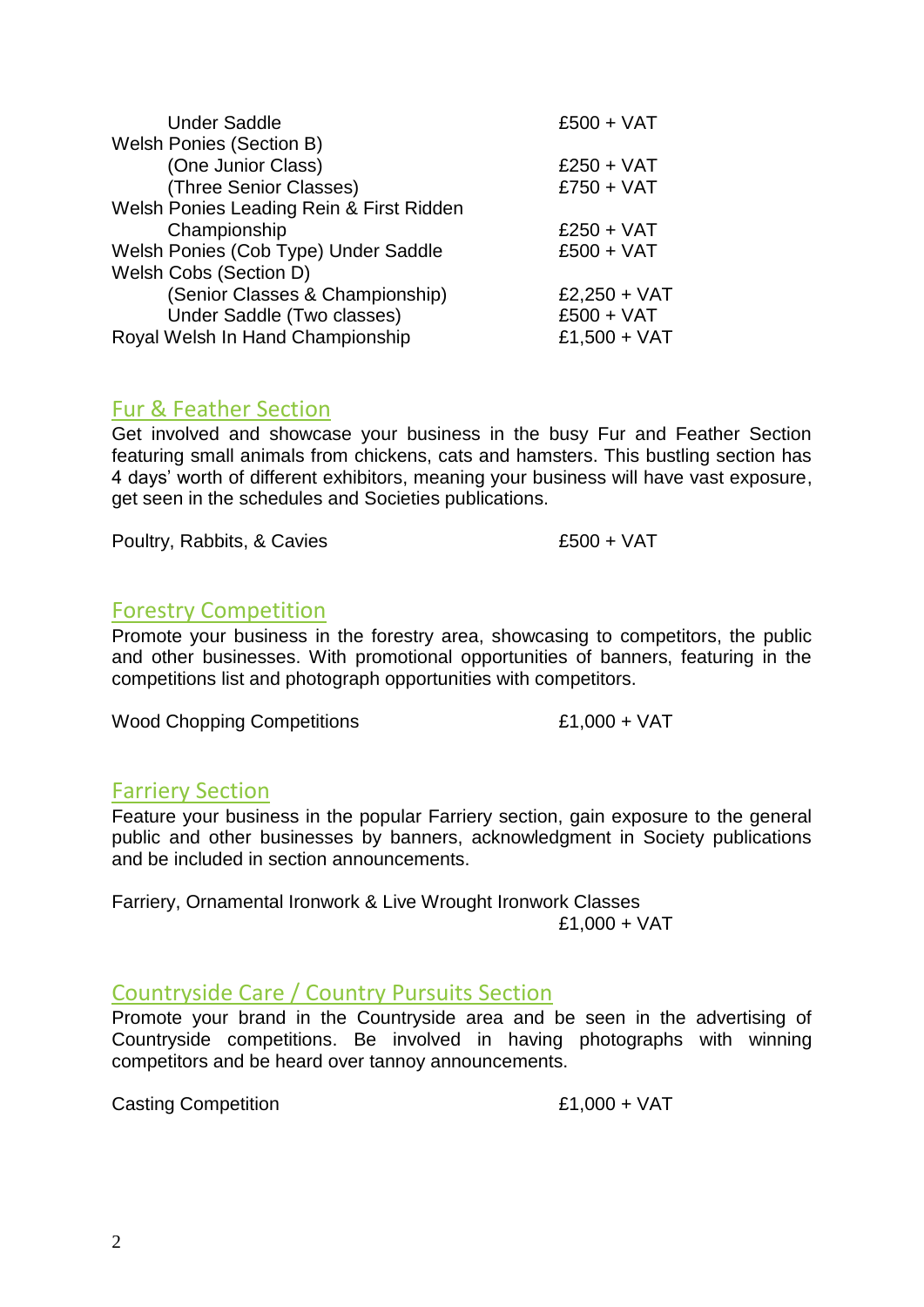| <b>Under Saddle</b>                      | $£500 + VAT$   |
|------------------------------------------|----------------|
| <b>Welsh Ponies (Section B)</b>          |                |
| (One Junior Class)                       | $£250 + VAT$   |
| (Three Senior Classes)                   | $£750 + VAT$   |
| Welsh Ponies Leading Rein & First Ridden |                |
| Championship                             | $£250 + VAT$   |
| Welsh Ponies (Cob Type) Under Saddle     | $£500 + VAT$   |
| Welsh Cobs (Section D)                   |                |
| (Senior Classes & Championship)          | $£2,250 + VAT$ |
| Under Saddle (Two classes)               | $£500 + VAT$   |
| Royal Welsh In Hand Championship         | £1,500 + VAT   |
|                                          |                |

# Fur & Feather Section

Get involved and showcase your business in the busy Fur and Feather Section featuring small animals from chickens, cats and hamsters. This bustling section has 4 days' worth of different exhibitors, meaning your business will have vast exposure, get seen in the schedules and Societies publications.

Poultry, Rabbits, & Cavies **E500** + VAT

# Forestry Competition

Promote your business in the forestry area, showcasing to competitors, the public and other businesses. With promotional opportunities of banners, featuring in the competitions list and photograph opportunities with competitors.

Wood Chopping Competitions  $£1,000 + VAT$ 

# Farriery Section

Feature your business in the popular Farriery section, gain exposure to the general public and other businesses by banners, acknowledgment in Society publications and be included in section announcements.

Farriery, Ornamental Ironwork & Live Wrought Ironwork Classes £1,000 + VAT

# Countryside Care / Country Pursuits Section

Promote your brand in the Countryside area and be seen in the advertising of Countryside competitions. Be involved in having photographs with winning competitors and be heard over tannoy announcements.

Casting Competition  $£1,000 + VAT$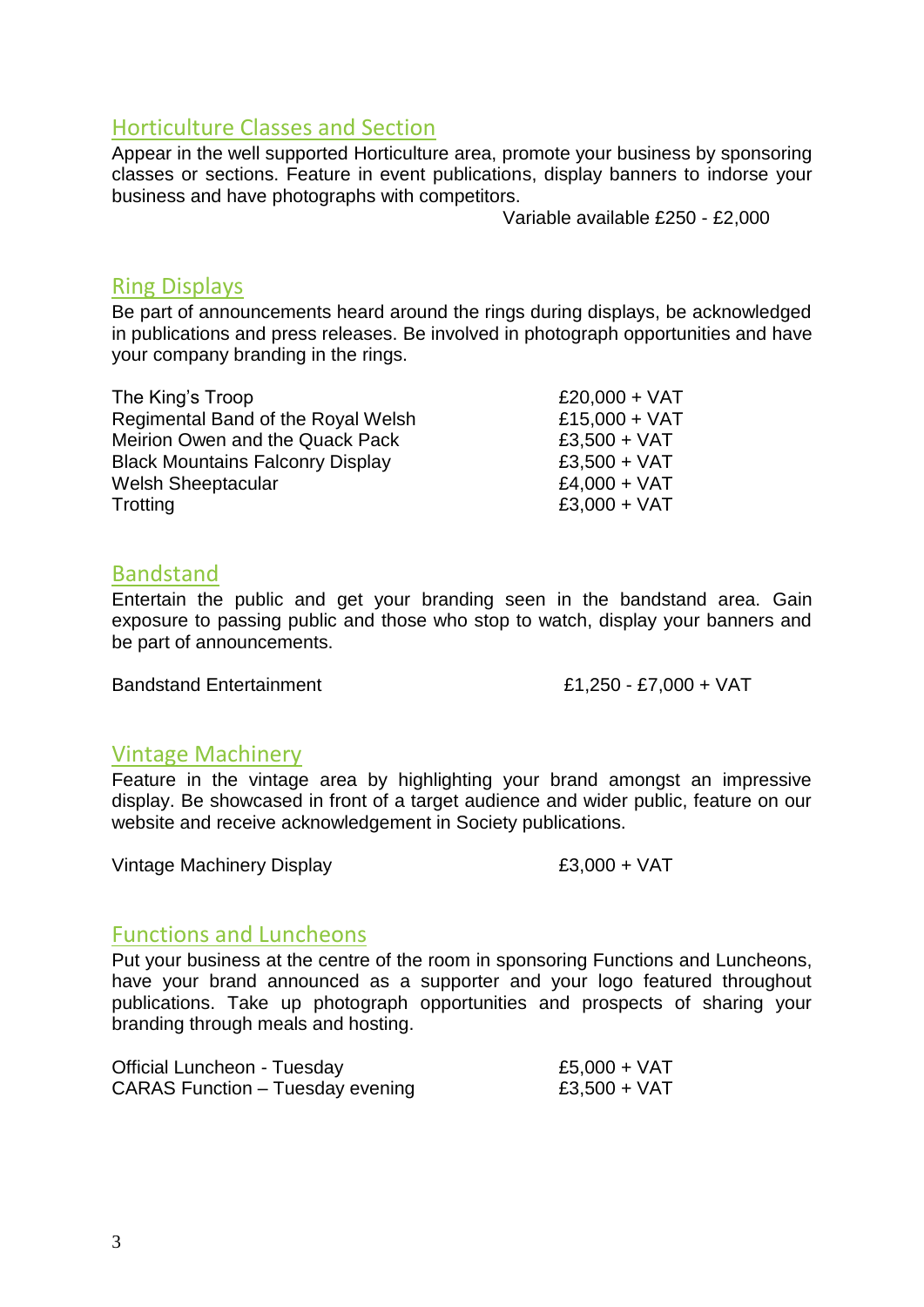# Horticulture Classes and Section

Appear in the well supported Horticulture area, promote your business by sponsoring classes or sections. Feature in event publications, display banners to indorse your business and have photographs with competitors.

Variable available £250 - £2,000

# Ring Displays

Be part of announcements heard around the rings during displays, be acknowledged in publications and press releases. Be involved in photograph opportunities and have your company branding in the rings.

| The King's Troop                        | $£20,000 + VAT$ |
|-----------------------------------------|-----------------|
| Regimental Band of the Royal Welsh      | $£15,000 + VAT$ |
| Meirion Owen and the Quack Pack         | $£3,500 + VAT$  |
| <b>Black Mountains Falconry Display</b> | $£3,500 + VAT$  |
| <b>Welsh Sheeptacular</b>               | $£4,000 + VAT$  |
| Trotting                                | $£3,000 + VAT$  |

#### Bandstand

Entertain the public and get your branding seen in the bandstand area. Gain exposure to passing public and those who stop to watch, display your banners and be part of announcements.

Bandstand Entertainment E1,250 - £7,000 + VAT

# Vintage Machinery

Feature in the vintage area by highlighting your brand amongst an impressive display. Be showcased in front of a target audience and wider public, feature on our website and receive acknowledgement in Society publications.

Vintage Machinery Display  $£3,000 + VAT$ 

# Functions and Luncheons

Put your business at the centre of the room in sponsoring Functions and Luncheons, have your brand announced as a supporter and your logo featured throughout publications. Take up photograph opportunities and prospects of sharing your branding through meals and hosting.

| <b>Official Luncheon - Tuesday</b> | £5,000 + VAT   |
|------------------------------------|----------------|
| CARAS Function – Tuesday evening   | $£3,500 + VAT$ |